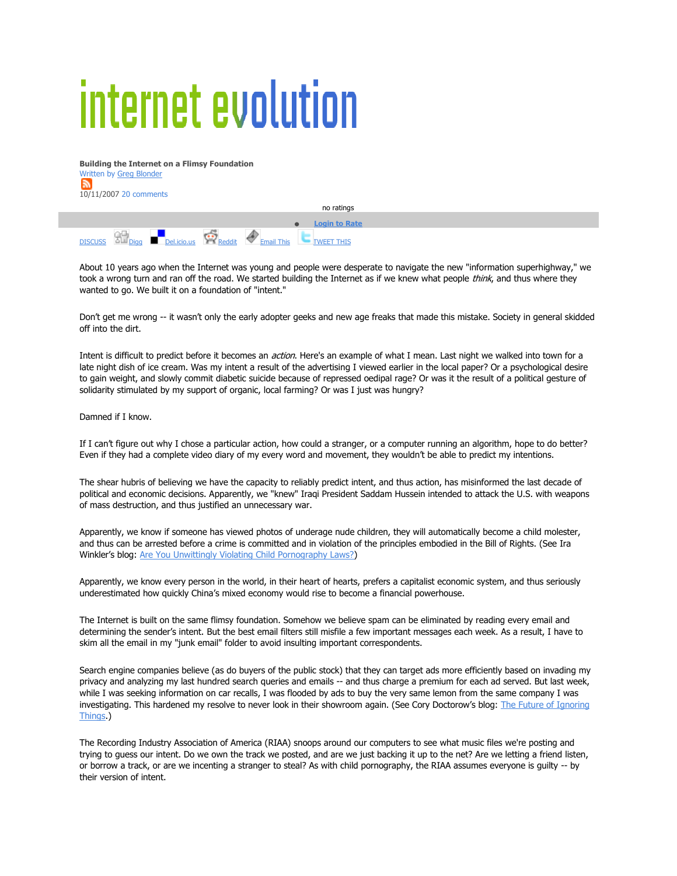## internet evolution

**Building the Internet on a Flimsy Foundation** Written by Greg Blonder  $\mathbb{R}$ 10/11/2007 20 comments

no ratings **Login to Rate**  $D$ ISCUSS  $D$ ul  $D$ iqq Del.icio.us  $\bigotimes_{\text{Reddit}}$   $\bigotimes_{\text{Email This}}$  TWEET THIS

About 10 years ago when the Internet was young and people were desperate to navigate the new "information superhighway," we took a wrong turn and ran off the road. We started building the Internet as if we knew what people think, and thus where they wanted to go. We built it on a foundation of "intent."

Don't get me wrong -- it wasn't only the early adopter geeks and new age freaks that made this mistake. Society in general skidded off into the dirt.

Intent is difficult to predict before it becomes an *action*. Here's an example of what I mean. Last night we walked into town for a late night dish of ice cream. Was my intent a result of the advertising I viewed earlier in the local paper? Or a psychological desire to gain weight, and slowly commit diabetic suicide because of repressed oedipal rage? Or was it the result of a political gesture of solidarity stimulated by my support of organic, local farming? Or was I just was hungry?

Damned if I know.

If I can't figure out why I chose a particular action, how could a stranger, or a computer running an algorithm, hope to do better? Even if they had a complete video diary of my every word and movement, they wouldn't be able to predict my intentions.

The shear hubris of believing we have the capacity to reliably predict intent, and thus action, has misinformed the last decade of political and economic decisions. Apparently, we "knew" Iraqi President Saddam Hussein intended to attack the U.S. with weapons of mass destruction, and thus justified an unnecessary war.

Apparently, we know if someone has viewed photos of underage nude children, they will automatically become a child molester, and thus can be arrested before a crime is committed and in violation of the principles embodied in the Bill of Rights. (See Ira Winkler's blog: Are You Unwittingly Violating Child Pornography Laws?)

Apparently, we know every person in the world, in their heart of hearts, prefers a capitalist economic system, and thus seriously underestimated how quickly China's mixed economy would rise to become a financial powerhouse.

The Internet is built on the same flimsy foundation. Somehow we believe spam can be eliminated by reading every email and determining the sender's intent. But the best email filters still misfile a few important messages each week. As a result, I have to skim all the email in my "junk email" folder to avoid insulting important correspondents.

Search engine companies believe (as do buyers of the public stock) that they can target ads more efficiently based on invading my privacy and analyzing my last hundred search queries and emails -- and thus charge a premium for each ad served. But last week, while I was seeking information on car recalls, I was flooded by ads to buy the very same lemon from the same company I was investigating. This hardened my resolve to never look in their showroom again. (See Cory Doctorow's blog: The Future of Ignoring Things.)

The Recording Industry Association of America (RIAA) snoops around our computers to see what music files we're posting and trying to guess our intent. Do we own the track we posted, and are we just backing it up to the net? Are we letting a friend listen, or borrow a track, or are we incenting a stranger to steal? As with child pornography, the RIAA assumes everyone is guilty -- by their version of intent.